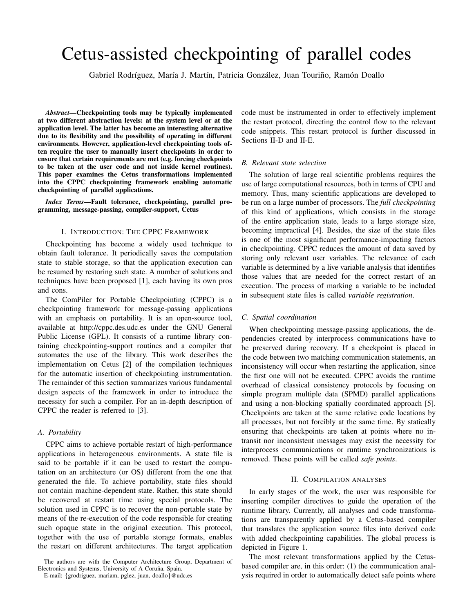# Cetus-assisted checkpointing of parallel codes

Gabriel Rodríguez, María J. Martín, Patricia González, Juan Touriño, Ramón Doallo

*Abstract*—Checkpointing tools may be typically implemented at two different abstraction levels: at the system level or at the application level. The latter has become an interesting alternative due to its flexibility and the possibility of operating in different environments. However, application-level checkpointing tools often require the user to manually insert checkpoints in order to ensure that certain requirements are met (e.g. forcing checkpoints to be taken at the user code and not inside kernel routines). This paper examines the Cetus transformations implemented into the CPPC checkpointing framework enabling automatic checkpointing of parallel applications.

*Index Terms*—Fault tolerance, checkpointing, parallel programming, message-passing, compiler-support, Cetus

# I. INTRODUCTION: THE CPPC FRAMEWORK

Checkpointing has become a widely used technique to obtain fault tolerance. It periodically saves the computation state to stable storage, so that the application execution can be resumed by restoring such state. A number of solutions and techniques have been proposed [1], each having its own pros and cons.

The ComPiler for Portable Checkpointing (CPPC) is a checkpointing framework for message-passing applications with an emphasis on portability. It is an open-source tool, available at http://cppc.des.udc.es under the GNU General Public License (GPL). It consists of a runtime library containing checkpointing-support routines and a compiler that automates the use of the library. This work describes the implementation on Cetus [2] of the compilation techniques for the automatic insertion of checkpointing instrumentation. The remainder of this section summarizes various fundamental design aspects of the framework in order to introduce the necessity for such a compiler. For an in-depth description of CPPC the reader is referred to [3].

## *A. Portability*

CPPC aims to achieve portable restart of high-performance applications in heterogeneous environments. A state file is said to be portable if it can be used to restart the computation on an architecture (or OS) different from the one that generated the file. To achieve portability, state files should not contain machine-dependent state. Rather, this state should be recovered at restart time using special protocols. The solution used in CPPC is to recover the non-portable state by means of the re-execution of the code responsible for creating such opaque state in the original execution. This protocol, together with the use of portable storage formats, enables the restart on different architectures. The target application

code must be instrumented in order to effectively implement the restart protocol, directing the control flow to the relevant code snippets. This restart protocol is further discussed in Sections II-D and II-E.

## *B. Relevant state selection*

The solution of large real scientific problems requires the use of large computational resources, both in terms of CPU and memory. Thus, many scientific applications are developed to be run on a large number of processors. The *full checkpointing* of this kind of applications, which consists in the storage of the entire application state, leads to a large storage size, becoming impractical [4]. Besides, the size of the state files is one of the most significant performance-impacting factors in checkpointing. CPPC reduces the amount of data saved by storing only relevant user variables. The relevance of each variable is determined by a live variable analysis that identifies those values that are needed for the correct restart of an execution. The process of marking a variable to be included in subsequent state files is called *variable registration*.

## *C. Spatial coordination*

When checkpointing message-passing applications, the dependencies created by interprocess communications have to be preserved during recovery. If a checkpoint is placed in the code between two matching communication statements, an inconsistency will occur when restarting the application, since the first one will not be executed. CPPC avoids the runtime overhead of classical consistency protocols by focusing on simple program multiple data (SPMD) parallel applications and using a non-blocking spatially coordinated approach [5]. Checkpoints are taken at the same relative code locations by all processes, but not forcibly at the same time. By statically ensuring that checkpoints are taken at points where no intransit nor inconsistent messages may exist the necessity for interprocess communications or runtime synchronizations is removed. These points will be called *safe points*.

#### II. COMPILATION ANALYSES

In early stages of the work, the user was responsible for inserting compiler directives to guide the operation of the runtime library. Currently, all analyses and code transformations are transparently applied by a Cetus-based compiler that translates the application source files into derived code with added checkpointing capabilities. The global process is depicted in Figure 1.

The most relevant transformations applied by the Cetusbased compiler are, in this order: (1) the communication analysis required in order to automatically detect safe points where

The authors are with the Computer Architecture Group, Department of Electronics and Systems, University of A Coruña, Spain.

E-mail: {grodriguez, mariam, pglez, juan, doallo}@udc.es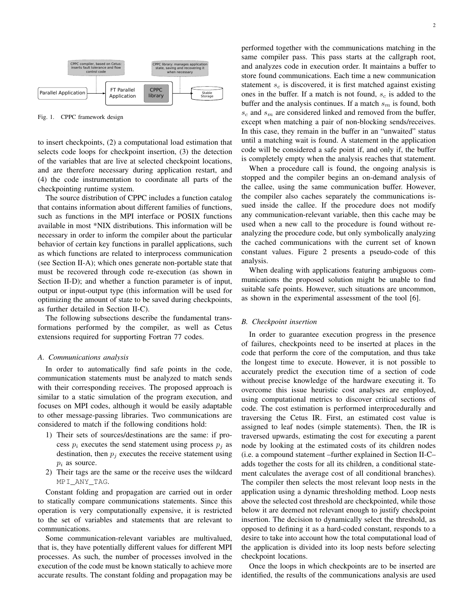

Fig. 1. CPPC framework design

to insert checkpoints, (2) a computational load estimation that selects code loops for checkpoint insertion, (3) the detection of the variables that are live at selected checkpoint locations, and are therefore necessary during application restart, and (4) the code instrumentation to coordinate all parts of the checkpointing runtime system.

The source distribution of CPPC includes a function catalog that contains information about different families of functions, such as functions in the MPI interface or POSIX functions available in most \*NIX distributions. This information will be necessary in order to inform the compiler about the particular behavior of certain key functions in parallel applications, such as which functions are related to interprocess communication (see Section II-A); which ones generate non-portable state that must be recovered through code re-execution (as shown in Section II-D); and whether a function parameter is of input, output or input-output type (this information will be used for optimizing the amount of state to be saved during checkpoints, as further detailed in Section II-C).

The following subsections describe the fundamental transformations performed by the compiler, as well as Cetus extensions required for supporting Fortran 77 codes.

# *A. Communications analysis*

In order to automatically find safe points in the code, communication statements must be analyzed to match sends with their corresponding receives. The proposed approach is similar to a static simulation of the program execution, and focuses on MPI codes, although it would be easily adaptable to other message-passing libraries. Two communications are considered to match if the following conditions hold:

- 1) Their sets of sources/destinations are the same: if process  $p_i$  executes the send statement using process  $p_i$  as destination, then  $p_i$  executes the receive statement using  $p_i$  as source.
- 2) Their tags are the same or the receive uses the wildcard MPI\_ANY\_TAG.

Constant folding and propagation are carried out in order to statically compare communications statements. Since this operation is very computationally expensive, it is restricted to the set of variables and statements that are relevant to communications.

Some communication-relevant variables are multivalued, that is, they have potentially different values for different MPI processes. As such, the number of processes involved in the execution of the code must be known statically to achieve more accurate results. The constant folding and propagation may be performed together with the communications matching in the same compiler pass. This pass starts at the callgraph root, and analyzes code in execution order. It maintains a buffer to store found communications. Each time a new communication statement  $s_c$  is discovered, it is first matched against existing ones in the buffer. If a match is not found,  $s_c$  is added to the buffer and the analysis continues. If a match  $s_m$  is found, both  $s_c$  and  $s_m$  are considered linked and removed from the buffer, except when matching a pair of non-blocking sends/receives. In this case, they remain in the buffer in an "unwaited" status until a matching wait is found. A statement in the application code will be considered a safe point if, and only if, the buffer is completely empty when the analysis reaches that statement.

When a procedure call is found, the ongoing analysis is stopped and the compiler begins an on-demand analysis of the callee, using the same communication buffer. However, the compiler also caches separately the communications issued inside the callee. If the procedure does not modify any communication-relevant variable, then this cache may be used when a new call to the procedure is found without reanalyzing the procedure code, but only symbolically analyzing the cached communications with the current set of known constant values. Figure 2 presents a pseudo-code of this analysis.

When dealing with applications featuring ambiguous communications the proposed solution might be unable to find suitable safe points. However, such situations are uncommon, as shown in the experimental assessment of the tool [6].

## *B. Checkpoint insertion*

In order to guarantee execution progress in the presence of failures, checkpoints need to be inserted at places in the code that perform the core of the computation, and thus take the longest time to execute. However, it is not possible to accurately predict the execution time of a section of code without precise knowledge of the hardware executing it. To overcome this issue heuristic cost analyses are employed, using computational metrics to discover critical sections of code. The cost estimation is performed interprocedurally and traversing the Cetus IR. First, an estimated cost value is assigned to leaf nodes (simple statements). Then, the IR is traversed upwards, estimating the cost for executing a parent node by looking at the estimated costs of its children nodes (i.e. a compound statement –further explained in Section II-C– adds together the costs for all its children, a conditional statement calculates the average cost of all conditional branches). The compiler then selects the most relevant loop nests in the application using a dynamic thresholding method. Loop nests above the selected cost threshold are checkpointed, while those below it are deemed not relevant enough to justify checkpoint insertion. The decision to dynamically select the threshold, as opposed to defining it as a hard-coded constant, responds to a desire to take into account how the total computational load of the application is divided into its loop nests before selecting checkpoint locations.

Once the loops in which checkpoints are to be inserted are identified, the results of the communications analysis are used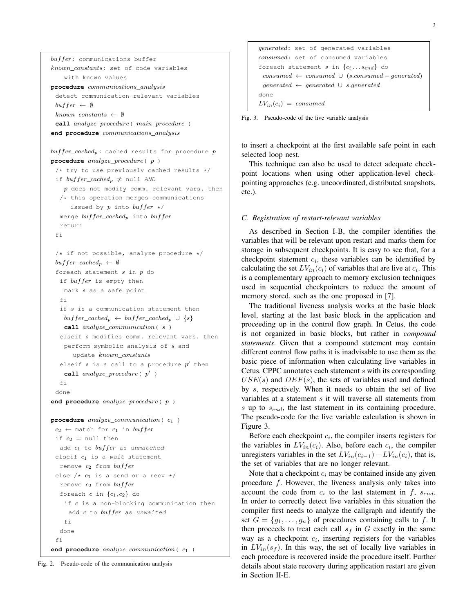```
generated: set of generated variables
consumed: set of consumed variables
foreach statement s in \{c_i \dots s_{end}\} do
 cosumed \leftarrow consumed \cup (s. consumed - generated)generated ← generated ∪ s.generated
done
LV_{in}(c_i) = consumed
```
Fig. 3. Pseudo-code of the live variable analysis

to insert a checkpoint at the first available safe point in each selected loop nest.

This technique can also be used to detect adequate checkpoint locations when using other application-level checkpointing approaches (e.g. uncoordinated, distributed snapshots, etc.).

# *C. Registration of restart-relevant variables*

As described in Section I-B, the compiler identifies the variables that will be relevant upon restart and marks them for storage in subsequent checkpoints. It is easy to see that, for a checkpoint statement  $c_i$ , these variables can be identified by calculating the set  $LV_{in}(c_i)$  of variables that are live at  $c_i$ . This is a complementary approach to memory exclusion techniques used in sequential checkpointers to reduce the amount of memory stored, such as the one proposed in [7].

The traditional liveness analysis works at the basic block level, starting at the last basic block in the application and proceeding up in the control flow graph. In Cetus, the code is not organized in basic blocks, but rather in *compound statements*. Given that a compound statement may contain different control flow paths it is inadvisable to use them as the basic piece of information when calculating live variables in Cetus. CPPC annotates each statement s with its corresponding  $USE(s)$  and  $DEF(s)$ , the sets of variables used and defined by s, respectively. When it needs to obtain the set of live variables at a statement  $s$  it will traverse all statements from s up to  $s_{end}$ , the last statement in its containing procedure. The pseudo-code for the live variable calculation is shown in Figure 3.

Before each checkpoint  $c_i$ , the compiler inserts registers for the variables in  $LV_{in}(c_i)$ . Also, before each  $c_i$ , the compiler unregisters variables in the set  $LV_{in}(c_{i-1})-LV_{in}(c_i)$ , that is, the set of variables that are no longer relevant.

Note that a checkpoint  $c_i$  may be contained inside any given procedure  $f$ . However, the liveness analysis only takes into account the code from  $c_i$  to the last statement in f,  $s_{end}$ . In order to correctly detect live variables in this situation the compiler first needs to analyze the callgraph and identify the set  $G = \{g_1, \ldots, g_n\}$  of procedures containing calls to f. It then proceeds to treat each call  $s_f$  in G exactly in the same way as a checkpoint  $c_i$ , inserting registers for the variables in  $LV_{in}(s_f)$ . In this way, the set of locally live variables in each procedure is recovered inside the procedure itself. Further details about state recovery during application restart are given in Section II-E.

with known values **procedure** communications\_analysis detect communication relevant variables  $buffer \leftarrow \emptyset$ known\_constants  $\leftarrow$  Ø **call** analyze\_procedure( main\_procedure ) **end procedure** communications\_analysis  $buffer\_cached_p$ : cached results for procedure p **procedure** analyze\_procedure( p)  $/*$  try to use previously cached results  $*/$ if  $buffer\_cached_p \neq null$  AND  $p$  does not modify comm. relevant vars. then /\* this operation merges communications issued by  $p$  into  $buffer$  \*/ merge  $buffer\_cached_p$  into  $buffer$ return fi  $/*$  if not possible, analyze procedure  $*/$  $buffer\_cached_p \leftarrow \emptyset$ foreach statement  $s$  in  $p$  do if  $buffer$  is empty then mark s as a safe point fi if  $s$  is a communication statement then  $buffer\_cached_p \leftarrow buffer\_cached_p \cup \{s\}$ **call** analyze communication( s ) elseif s modifies comm. relevant vars. then perform symbolic analysis of  $s$  and update known\_constants elseif  $s$  is a call to a procedure  $p'$  then call  $analyze\_procedure$  ( $p'$ ) fi done **end procedure** analyze\_procedure( p ) **procedure** analyze\_communication( $c_1$ )  $c_2 \leftarrow$  match for  $c_1$  in buffer if  $c_2$  = null then add  $c_1$  to  $buffer$  as unmatched elseif  $c_1$  is a wait statement remove  $c_2$  from  $buffer$ else /\*  $c_1$  is a send or a recv \*/ remove  $c_2$  from  $buffer$ foreach c in  $\{c_1, c_2\}$  do if  $c$  is a non-blocking communication then add  $c$  to  $buffer$  as unwaited fi done fi end procedure analyze\_communication( $c_1$ )

buffer: communications buffer

known\_constants: set of code variables

Fig. 2. Pseudo-code of the communication analysis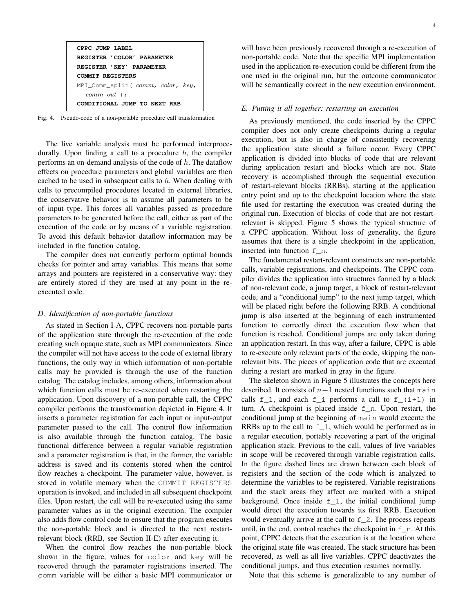| CPPC JUMP LABEL                        |
|----------------------------------------|
| REGISTER 'COLOR' PARAMETER             |
| REGISTER 'KEY' PARAMETER               |
| <b>COMMIT REGISTERS</b>                |
| $MPI_{comm\_split} (comm, color, key,$ |
| $comm$ $out$ $);$                      |
| CONDITIONAL JUMP TO NEXT RRB           |

Fig. 4. Pseudo-code of a non-portable procedure call transformation

The live variable analysis must be performed interprocedurally. Upon finding a call to a procedure  $h$ , the compiler performs an on-demand analysis of the code of  $h$ . The dataflow effects on procedure parameters and global variables are then cached to be used in subsequent calls to  $h$ . When dealing with calls to precompiled procedures located in external libraries, the conservative behavior is to assume all parameters to be of input type. This forces all variables passed as procedure parameters to be generated before the call, either as part of the execution of the code or by means of a variable registration. To avoid this default behavior dataflow information may be included in the function catalog.

The compiler does not currently perform optimal bounds checks for pointer and array variables. This means that some arrays and pointers are registered in a conservative way: they are entirely stored if they are used at any point in the reexecuted code.

## *D. Identification of non-portable functions*

As stated in Section I-A, CPPC recovers non-portable parts of the application state through the re-execution of the code creating such opaque state, such as MPI communicators. Since the compiler will not have access to the code of external library functions, the only way in which information of non-portable calls may be provided is through the use of the function catalog. The catalog includes, among others, information about which function calls must be re-executed when restarting the application. Upon discovery of a non-portable call, the CPPC compiler performs the transformation depicted in Figure 4. It inserts a parameter registration for each input or input-output parameter passed to the call. The control flow information is also available through the function catalog. The basic functional difference between a regular variable registration and a parameter registration is that, in the former, the variable address is saved and its contents stored when the control flow reaches a checkpoint. The parameter value, however, is stored in volatile memory when the COMMIT REGISTERS operation is invoked, and included in all subsequent checkpoint files. Upon restart, the call will be re-executed using the same parameter values as in the original execution. The compiler also adds flow control code to ensure that the program executes the non-portable block and is directed to the next restartrelevant block (RRB, see Section II-E) after executing it.

When the control flow reaches the non-portable block shown in the figure, values for color and key will be recovered through the parameter registrations inserted. The comm variable will be either a basic MPI communicator or

will have been previously recovered through a re-execution of non-portable code. Note that the specific MPI implementation used in the application re-execution could be different from the one used in the original run, but the outcome communicator will be semantically correct in the new execution environment.

## *E. Putting it all together: restarting an execution*

As previously mentioned, the code inserted by the CPPC compiler does not only create checkpoints during a regular execution, but is also in charge of consistently recovering the application state should a failure occur. Every CPPC application is divided into blocks of code that are relevant during application restart and blocks which are not. State recovery is accomplished through the sequential execution of restart-relevant blocks (RRBs), starting at the application entry point and up to the checkpoint location where the state file used for restarting the execution was created during the original run. Execution of blocks of code that are not restartrelevant is skipped. Figure 5 shows the typical structure of a CPPC application. Without loss of generality, the figure assumes that there is a single checkpoint in the application, inserted into function f\_n.

The fundamental restart-relevant constructs are non-portable calls, variable registrations, and checkpoints. The CPPC compiler divides the application into structures formed by a block of non-relevant code, a jump target, a block of restart-relevant code, and a "conditional jump" to the next jump target, which will be placed right before the following RRB. A conditional jump is also inserted at the beginning of each instrumented function to correctly direct the execution flow when that function is reached. Conditional jumps are only taken during an application restart. In this way, after a failure, CPPC is able to re-execute only relevant parts of the code, skipping the nonrelevant bits. The pieces of application code that are executed during a restart are marked in gray in the figure.

The skeleton shown in Figure 5 illustrates the concepts here described. It consists of  $n+1$  nested functions such that main calls  $f_1$ , and each  $f_i$  performs a call to  $f_i(i+1)$  in turn. A checkpoint is placed inside  $f_n$ . Upon restart, the conditional jump at the beginning of main would execute the RRBs up to the call to  $f_1$ , which would be performed as in a regular execution, portably recovering a part of the original application stack. Previous to the call, values of live variables in scope will be recovered through variable registration calls. In the figure dashed lines are drawn between each block of registers and the section of the code which is analyzed to determine the variables to be registered. Variable registrations and the stack areas they affect are marked with a striped background. Once inside  $f_1$ , the initial conditional jump would direct the execution towards its first RRB. Execution would eventually arrive at the call to  $f_2$ . The process repeats until, in the end, control reaches the checkpoint in  $f_n$ . At this point, CPPC detects that the execution is at the location where the original state file was created. The stack structure has been recovered, as well as all live variables. CPPC deactivates the conditional jumps, and thus execution resumes normally.

Note that this scheme is generalizable to any number of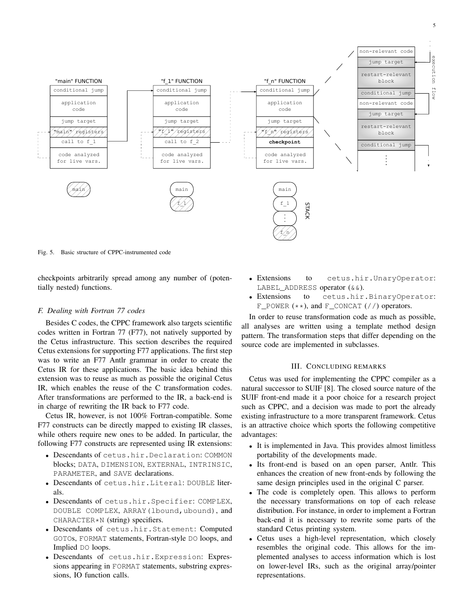



Fig. 5. Basic structure of CPPC-instrumented code

checkpoints arbitrarily spread among any number of (potentially nested) functions.

# *F. Dealing with Fortran 77 codes*

Besides C codes, the CPPC framework also targets scientific codes written in Fortran 77 (F77), not natively supported by the Cetus infrastructure. This section describes the required Cetus extensions for supporting F77 applications. The first step was to write an F77 Antlr grammar in order to create the Cetus IR for these applications. The basic idea behind this extension was to reuse as much as possible the original Cetus IR, which enables the reuse of the C transformation codes. After transformations are performed to the IR, a back-end is in charge of rewriting the IR back to F77 code.

Cetus IR, however, is not 100% Fortran-compatible. Some F77 constructs can be directly mapped to existing IR classes, while others require new ones to be added. In particular, the following F77 constructs are represented using IR extensions:

- Descendants of cetus.hir.Declaration: COMMON blocks; DATA, DIMENSION, EXTERNAL, INTRINSIC, PARAMETER, and SAVE declarations.
- Descendants of cetus.hir.Literal: DOUBLE literals.
- Descendants of cetus.hir.Specifier: COMPLEX, DOUBLE COMPLEX, ARRAY (lbound, ubound), and CHARACTER\*N (string) specifiers.
- Descendants of cetus.hir.Statement: Computed GOTOs, FORMAT statements, Fortran-style DO loops, and Implied DO loops.
- Descendants of cetus.hir.Expression: Expressions appearing in FORMAT statements, substring expressions, IO function calls.
- Extensions to cetus.hir.UnaryOperator: LABEL ADDRESS operator  $(\&\&).$
- Extensions to cetus.hir.BinaryOperator: F\_POWER  $(**)$ , and F\_CONCAT  $//$  operators.

In order to reuse transformation code as much as possible, all analyses are written using a template method design pattern. The transformation steps that differ depending on the source code are implemented in subclasses.

# III. CONCLUDING REMARKS

Cetus was used for implementing the CPPC compiler as a natural successor to SUIF [8]. The closed source nature of the SUIF front-end made it a poor choice for a research project such as CPPC, and a decision was made to port the already existing infrastructure to a more transparent framework. Cetus is an attractive choice which sports the following competitive advantages:

- It is implemented in Java. This provides almost limitless portability of the developments made.
- Its front-end is based on an open parser, Antlr. This enhances the creation of new front-ends by following the same design principles used in the original C parser.
- The code is completely open. This allows to perform the necessary transformations on top of each release distribution. For instance, in order to implement a Fortran back-end it is necessary to rewrite some parts of the standard Cetus printing system.
- Cetus uses a high-level representation, which closely resembles the original code. This allows for the implemented analyses to access information which is lost on lower-level IRs, such as the original array/pointer representations.